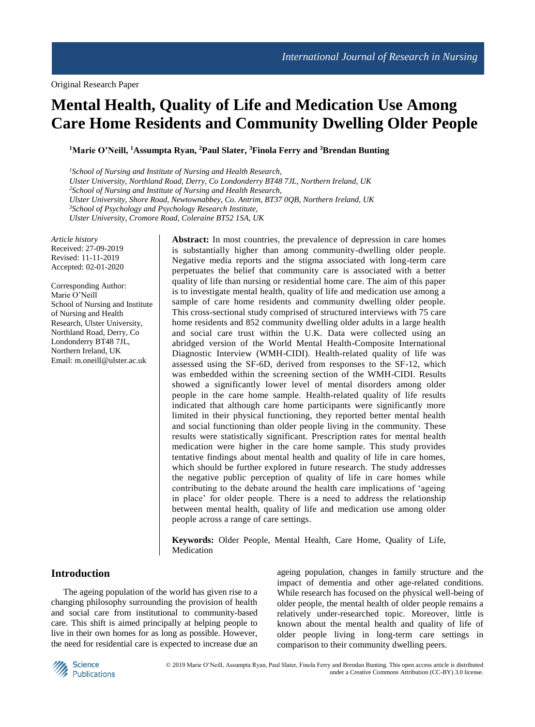# **Mental Health, Quality of Life and Medication Use Among Care Home Residents and Community Dwelling Older People**

**<sup>1</sup>Marie O'Neill, <sup>1</sup>Assumpta Ryan, <sup>2</sup>Paul Slater, <sup>3</sup>Finola Ferry and <sup>3</sup>Brendan Bunting**

*<sup>1</sup>School of Nursing and Institute of Nursing and Health Research, Ulster University, Northland Road, Derry, Co Londonderry BT48 7JL, Northern Ireland, UK <sup>2</sup>School of Nursing and Institute of Nursing and Health Research, Ulster University, Shore Road, Newtownabbey, Co. Antrim, BT37 0QB, Northern Ireland, UK <sup>3</sup>School of Psychology and Psychology Research Institute, Ulster University, Cromore Road, Coleraine BT52 1SA, UK*

*Article history* Received: 27-09-2019 Revised: 11-11-2019 Accepted: 02-01-2020

Corresponding Author: Marie O'Neill School of Nursing and Institute of Nursing and Health Research, Ulster University, Northland Road, Derry, Co Londonderry BT48 7JL, Northern Ireland, UK Email: [m.oneill@ulster.ac.uk](mailto:m.oneill@ulster.ac.uk)

**Abstract:** In most countries, the prevalence of depression in care homes is substantially higher than among community-dwelling older people. Negative media reports and the stigma associated with long-term care perpetuates the belief that community care is associated with a better quality of life than nursing or residential home care. The aim of this paper is to investigate mental health, quality of life and medication use among a sample of care home residents and community dwelling older people. This cross-sectional study comprised of structured interviews with 75 care home residents and 852 community dwelling older adults in a large health and social care trust within the U.K. Data were collected using an abridged version of the World Mental Health-Composite International Diagnostic Interview (WMH-CIDI). Health-related quality of life was assessed using the SF-6D, derived from responses to the SF-12, which was embedded within the screening section of the WMH-CIDI. Results showed a significantly lower level of mental disorders among older people in the care home sample. Health-related quality of life results indicated that although care home participants were significantly more limited in their physical functioning, they reported better mental health and social functioning than older people living in the community. These results were statistically significant. Prescription rates for mental health medication were higher in the care home sample. This study provides tentative findings about mental health and quality of life in care homes, which should be further explored in future research. The study addresses the negative public perception of quality of life in care homes while contributing to the debate around the health care implications of 'ageing in place' for older people. There is a need to address the relationship between mental health, quality of life and medication use among older people across a range of care settings.

**Keywords:** Older People, Mental Health, Care Home, Quality of Life, Medication

# **Introduction**

The ageing population of the world has given rise to a changing philosophy surrounding the provision of health and social care from institutional to community-based care. This shift is aimed principally at helping people to live in their own homes for as long as possible. However, the need for residential care is expected to increase due an ageing population, changes in family structure and the impact of dementia and other age-related conditions. While research has focused on the physical well-being of older people, the mental health of older people remains a relatively under-researched topic. Moreover, little is known about the mental health and quality of life of older people living in long-term care settings in comparison to their community dwelling peers.

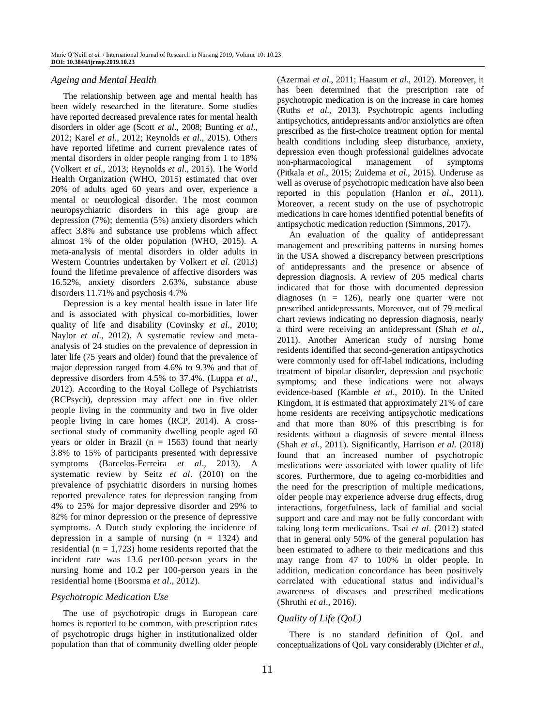#### *Ageing and Mental Health*

The relationship between age and mental health has been widely researched in the literature. Some studies have reported decreased prevalence rates for mental health disorders in older age (Scott *et al*., 2008; Bunting *et al*., 2012; Karel *et al*., 2012; Reynolds *et al*., 2015). Others have reported lifetime and current prevalence rates of mental disorders in older people ranging from 1 to 18% (Volkert *et al*., 2013; Reynolds *et al*., 2015). The World Health Organization (WHO, 2015) estimated that over 20% of adults aged 60 years and over, experience a mental or neurological disorder. The most common neuropsychiatric disorders in this age group are depression (7%); dementia (5%) anxiety disorders which affect 3.8% and substance use problems which affect almost 1% of the older population (WHO, 2015). A meta-analysis of mental disorders in older adults in Western Countries undertaken by Volkert *et al*. (2013) found the lifetime prevalence of affective disorders was 16.52%, anxiety disorders 2.63%, substance abuse disorders 11.71% and psychosis 4.7%

Depression is a key mental health issue in later life and is associated with physical co-morbidities, lower quality of life and disability (Covinsky *et al*., 2010; Naylor *et al*., 2012). A systematic review and metaanalysis of 24 studies on the prevalence of depression in later life (75 years and older) found that the prevalence of major depression ranged from 4.6% to 9.3% and that of depressive disorders from 4.5% to 37.4%. (Luppa *et al*., 2012). According to the Royal College of Psychiatrists (RCPsych), depression may affect one in five older people living in the community and two in five older people living in care homes (RCP, 2014). A crosssectional study of community dwelling people aged 60 years or older in Brazil ( $n = 1563$ ) found that nearly 3.8% to 15% of participants presented with depressive symptoms (Barcelos-Ferreira *et al*., 2013). A systematic review by Seitz *et al*. (2010) on the prevalence of psychiatric disorders in nursing homes reported prevalence rates for depression ranging from 4% to 25% for major depressive disorder and 29% to 82% for minor depression or the presence of depressive symptoms. A Dutch study exploring the incidence of depression in a sample of nursing  $(n = 1324)$  and residential ( $n = 1,723$ ) home residents reported that the incident rate was 13.6 per100-person years in the nursing home and 10.2 per 100-person years in the residential home (Boorsma *et al*., 2012).

#### *Psychotropic Medication Use*

The use of psychotropic drugs in European care homes is reported to be common, with prescription rates of psychotropic drugs higher in institutionalized older population than that of community dwelling older people (Azermai *et al*., 2011; Haasum *et al*., 2012). Moreover, it has been determined that the prescription rate of psychotropic medication is on the increase in care homes (Ruths *et al*., 2013). Psychotropic agents including antipsychotics, antidepressants and/or anxiolytics are often prescribed as the first-choice treatment option for mental health conditions including sleep disturbance, anxiety, depression even though professional guidelines advocate non-pharmacological management of symptoms (Pitkala *et al*., 2015; Zuidema *et al*., 2015). Underuse as well as overuse of psychotropic medication have also been reported in this population (Hanlon *et al*., 2011). Moreover, a recent study on the use of psychotropic medications in care homes identified potential benefits of antipsychotic medication reduction (Simmons, 2017).

An evaluation of the quality of antidepressant management and prescribing patterns in nursing homes in the USA showed a discrepancy between prescriptions of antidepressants and the presence or absence of depression diagnosis. A review of 205 medical charts indicated that for those with documented depression diagnoses (n = 126), nearly one quarter were not prescribed antidepressants. Moreover, out of 79 medical chart reviews indicating no depression diagnosis, nearly a third were receiving an antidepressant (Shah *et al*., 2011). Another American study of nursing home residents identified that second-generation antipsychotics were commonly used for off-label indications, including treatment of bipolar disorder, depression and psychotic symptoms; and these indications were not always evidence-based (Kamble *et al*., 2010). In the United Kingdom, it is estimated that approximately 21% of care home residents are receiving antipsychotic medications and that more than 80% of this prescribing is for residents without a diagnosis of severe mental illness (Shah *et al*., 2011). Significantly, Harrison *et al*. (2018) found that an increased number of psychotropic medications were associated with lower quality of life scores. Furthermore, due to ageing co-morbidities and the need for the prescription of multiple medications, older people may experience adverse drug effects, drug interactions, forgetfulness, lack of familial and social support and care and may not be fully concordant with taking long term medications. Tsai *et al*. (2012) stated that in general only 50% of the general population has been estimated to adhere to their medications and this may range from 47 to 100% in older people. In addition, medication concordance has been positively correlated with educational status and individual's awareness of diseases and prescribed medications (Shruthi *et al*., 2016).

#### *Quality of Life (QoL)*

There is no standard definition of QoL and conceptualizations of QoL vary considerably (Dichter *et al*.,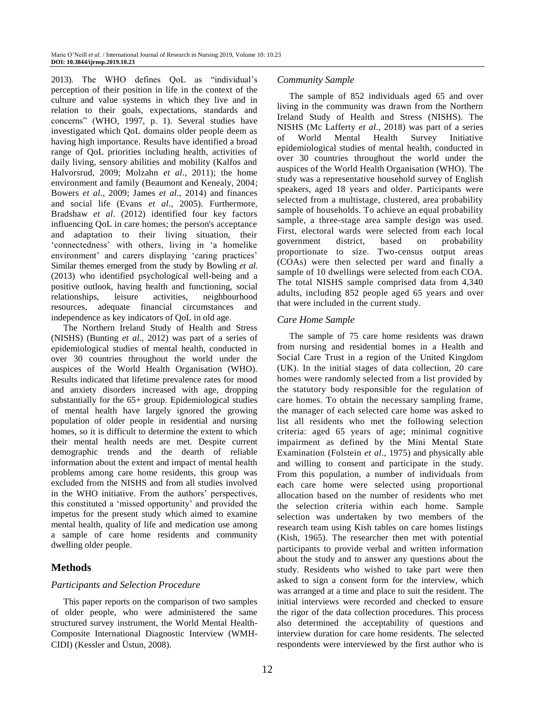2013). The WHO defines QoL as "individual's perception of their position in life in the context of the culture and value systems in which they live and in relation to their goals, expectations, standards and concerns" (WHO, 1997, p. 1). Several studies have investigated which QoL domains older people deem as having high importance. Results have identified a broad range of QoL priorities including health, activities of daily living, sensory abilities and mobility (Kalfos and Halvorsrud, 2009; Molzahn *et al*., 2011); the home environment and family (Beaumont and Kenealy, 2004; Bowers *et al*., 2009; James *et al*., 2014) and finances and social life (Evans *et al*., 2005). Furthermore, Bradshaw *et al*. (2012) identified four key factors influencing QoL in care homes; the person's acceptance and adaptation to their living situation, their 'connectedness' with others, living in 'a homelike environment' and carers displaying 'caring practices' Similar themes emerged from the study by Bowling *et al*. (2013) who identified psychological well-being and a positive outlook, having health and functioning, social relationships, leisure activities, neighbourhood resources, adequate financial circumstances and independence as key indicators of QoL in old age.

The Northern Ireland Study of Health and Stress (NISHS) (Bunting *et al*., 2012) was part of a series of epidemiological studies of mental health, conducted in over 30 countries throughout the world under the auspices of the World Health Organisation (WHO). Results indicated that lifetime prevalence rates for mood and anxiety disorders increased with age, dropping substantially for the 65+ group. Epidemiological studies of mental health have largely ignored the growing population of older people in residential and nursing homes, so it is difficult to determine the extent to which their mental health needs are met. Despite current demographic trends and the dearth of reliable information about the extent and impact of mental health problems among care home residents, this group was excluded from the NISHS and from all studies involved in the WHO initiative. From the authors' perspectives, this constituted a 'missed opportunity' and provided the impetus for the present study which aimed to examine mental health, quality of life and medication use among a sample of care home residents and community dwelling older people.

# **Methods**

## *Participants and Selection Procedure*

This paper reports on the comparison of two samples of older people, who were administered the same structured survey instrument, the World Mental Health-Composite International Diagnostic Interview (WMH-CIDI) (Kessler and Üstun, 2008).

## *Community Sample*

The sample of 852 individuals aged 65 and over living in the community was drawn from the Northern Ireland Study of Health and Stress (NISHS). The NISHS (Mc Lafferty *et al*., 2018) was part of a series of World Mental Health Survey Initiative epidemiological studies of mental health, conducted in over 30 countries throughout the world under the auspices of the World Health Organisation (WHO). The study was a representative household survey of English speakers, aged 18 years and older. Participants were selected from a multistage, clustered, area probability sample of households. To achieve an equal probability sample, a three-stage area sample design was used. First, electoral wards were selected from each local government district, based on probability proportionate to size. Two-census output areas (COAs) were then selected per ward and finally a sample of 10 dwellings were selected from each COA. The total NISHS sample comprised data from 4,340 adults, including 852 people aged 65 years and over that were included in the current study.

## *Care Home Sample*

The sample of 75 care home residents was drawn from nursing and residential homes in a Health and Social Care Trust in a region of the United Kingdom (UK). In the initial stages of data collection, 20 care homes were randomly selected from a list provided by the statutory body responsible for the regulation of care homes. To obtain the necessary sampling frame, the manager of each selected care home was asked to list all residents who met the following selection criteria: aged 65 years of age; minimal cognitive impairment as defined by the Mini Mental State Examination (Folstein *et al*., 1975) and physically able and willing to consent and participate in the study. From this population, a number of individuals from each care home were selected using proportional allocation based on the number of residents who met the selection criteria within each home. Sample selection was undertaken by two members of the research team using Kish tables on care homes listings (Kish, 1965). The researcher then met with potential participants to provide verbal and written information about the study and to answer any questions about the study. Residents who wished to take part were then asked to sign a consent form for the interview, which was arranged at a time and place to suit the resident. The initial interviews were recorded and checked to ensure the rigor of the data collection procedures. This process also determined the acceptability of questions and interview duration for care home residents. The selected respondents were interviewed by the first author who is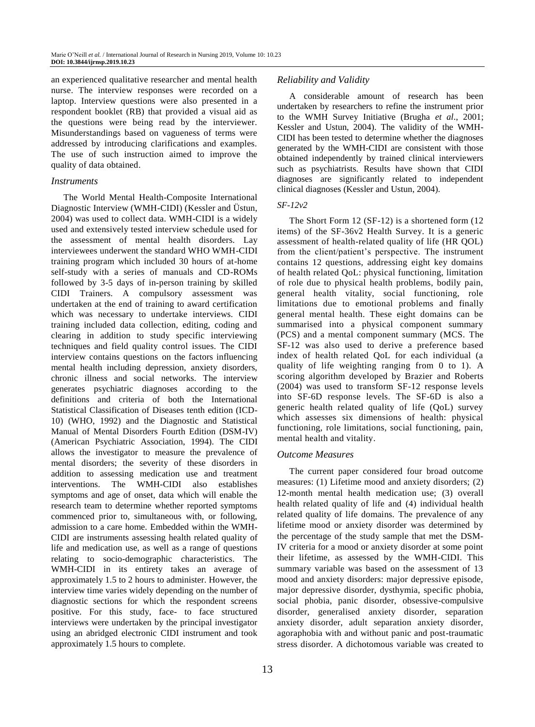an experienced qualitative researcher and mental health nurse. The interview responses were recorded on a laptop. Interview questions were also presented in a respondent booklet (RB) that provided a visual aid as the questions were being read by the interviewer. Misunderstandings based on vagueness of terms were addressed by introducing clarifications and examples. The use of such instruction aimed to improve the quality of data obtained.

#### *Instruments*

The World Mental Health-Composite International Diagnostic Interview (WMH-CIDI) (Kessler and Üstun, 2004) was used to collect data. WMH-CIDI is a widely used and extensively tested interview schedule used for the assessment of mental health disorders. Lay interviewees underwent the standard WHO WMH-CIDI training program which included 30 hours of at-home self-study with a series of manuals and CD-ROMs followed by 3-5 days of in-person training by skilled CIDI Trainers. A compulsory assessment was undertaken at the end of training to award certification which was necessary to undertake interviews. CIDI training included data collection, editing, coding and clearing in addition to study specific interviewing techniques and field quality control issues. The CIDI interview contains questions on the factors influencing mental health including depression, anxiety disorders, chronic illness and social networks. The interview generates psychiatric diagnoses according to the definitions and criteria of both the International Statistical Classification of Diseases tenth edition (ICD-10) (WHO, 1992) and the Diagnostic and Statistical Manual of Mental Disorders Fourth Edition (DSM-IV) (American Psychiatric Association, 1994). The CIDI allows the investigator to measure the prevalence of mental disorders; the severity of these disorders in addition to assessing medication use and treatment interventions. The WMH-CIDI also establishes symptoms and age of onset, data which will enable the research team to determine whether reported symptoms commenced prior to, simultaneous with, or following, admission to a care home. Embedded within the WMH-CIDI are instruments assessing health related quality of life and medication use, as well as a range of questions relating to socio-demographic characteristics. The WMH-CIDI in its entirety takes an average of approximately 1.5 to 2 hours to administer. However, the interview time varies widely depending on the number of diagnostic sections for which the respondent screens positive. For this study, face- to face structured interviews were undertaken by the principal investigator using an abridged electronic CIDI instrument and took approximately 1.5 hours to complete.

## *Reliability and Validity*

A considerable amount of research has been undertaken by researchers to refine the instrument prior to the WMH Survey Initiative (Brugha *et al*., 2001; Kessler and Ustun, 2004). The validity of the WMH-CIDI has been tested to determine whether the diagnoses generated by the WMH-CIDI are consistent with those obtained independently by trained clinical interviewers such as psychiatrists. Results have shown that CIDI diagnoses are significantly related to independent clinical diagnoses (Kessler and Ustun, 2004).

## *SF-12v2*

The Short Form 12 (SF-12) is a shortened form (12 items) of the SF-36v2 Health Survey. It is a generic assessment of health-related quality of life (HR QOL) from the client/patient's perspective. The instrument contains 12 questions, addressing eight key domains of health related QoL: physical functioning, limitation of role due to physical health problems, bodily pain, general health vitality, social functioning, role limitations due to emotional problems and finally general mental health. These eight domains can be summarised into a physical component summary (PCS) and a mental component summary (MCS. The SF-12 was also used to derive a preference based index of health related QoL for each individual (a quality of life weighting ranging from 0 to 1). A scoring algorithm developed by Brazier and Roberts (2004) was used to transform SF-12 response levels into SF-6D response levels. The SF-6D is also a generic health related quality of life (QoL) survey which assesses six dimensions of health: physical functioning, role limitations, social functioning, pain, mental health and vitality.

#### *Outcome Measures*

The current paper considered four broad outcome measures: (1) Lifetime mood and anxiety disorders; (2) 12-month mental health medication use; (3) overall health related quality of life and (4) individual health related quality of life domains. The prevalence of any lifetime mood or anxiety disorder was determined by the percentage of the study sample that met the DSM-IV criteria for a mood or anxiety disorder at some point their lifetime, as assessed by the WMH-CIDI. This summary variable was based on the assessment of 13 mood and anxiety disorders: major depressive episode, major depressive disorder, dysthymia, specific phobia, social phobia, panic disorder, obsessive-compulsive disorder, generalised anxiety disorder, separation anxiety disorder, adult separation anxiety disorder, agoraphobia with and without panic and post-traumatic stress disorder. A dichotomous variable was created to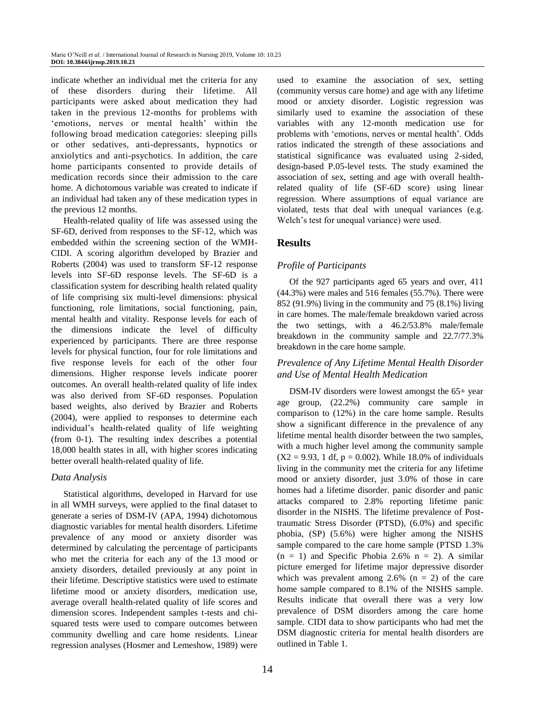indicate whether an individual met the criteria for any of these disorders during their lifetime. All participants were asked about medication they had taken in the previous 12-months for problems with 'emotions, nerves or mental health' within the following broad medication categories: sleeping pills or other sedatives, anti-depressants, hypnotics or anxiolytics and anti-psychotics. In addition, the care home participants consented to provide details of medication records since their admission to the care home. A dichotomous variable was created to indicate if an individual had taken any of these medication types in the previous 12 months.

Health-related quality of life was assessed using the SF-6D, derived from responses to the SF-12, which was embedded within the screening section of the WMH-CIDI. A scoring algorithm developed by Brazier and Roberts (2004) was used to transform SF-12 response levels into SF-6D response levels. The SF-6D is a classification system for describing health related quality of life comprising six multi-level dimensions: physical functioning, role limitations, social functioning, pain, mental health and vitality. Response levels for each of the dimensions indicate the level of difficulty experienced by participants. There are three response levels for physical function, four for role limitations and five response levels for each of the other four dimensions. Higher response levels indicate poorer outcomes. An overall health-related quality of life index was also derived from SF-6D responses. Population based weights, also derived by Brazier and Roberts (2004), were applied to responses to determine each individual's health-related quality of life weighting (from 0-1). The resulting index describes a potential 18,000 health states in all, with higher scores indicating better overall health-related quality of life.

#### *Data Analysis*

Statistical algorithms, developed in Harvard for use in all WMH surveys, were applied to the final dataset to generate a series of DSM-IV (APA, 1994) dichotomous diagnostic variables for mental health disorders. Lifetime prevalence of any mood or anxiety disorder was determined by calculating the percentage of participants who met the criteria for each any of the 13 mood or anxiety disorders, detailed previously at any point in their lifetime. Descriptive statistics were used to estimate lifetime mood or anxiety disorders, medication use, average overall health-related quality of life scores and dimension scores. Independent samples t-tests and chisquared tests were used to compare outcomes between community dwelling and care home residents. Linear regression analyses (Hosmer and Lemeshow, 1989) were used to examine the association of sex, setting (community versus care home) and age with any lifetime mood or anxiety disorder. Logistic regression was similarly used to examine the association of these variables with any 12-month medication use for problems with 'emotions, nerves or mental health'. Odds ratios indicated the strength of these associations and statistical significance was evaluated using 2-sided, design-based P.05-level tests. The study examined the association of sex, setting and age with overall healthrelated quality of life (SF-6D score) using linear regression. Where assumptions of equal variance are violated, tests that deal with unequal variances (e.g. Welch's test for unequal variance) were used.

## **Results**

## *Profile of Participants*

Of the 927 participants aged 65 years and over, 411 (44.3%) were males and 516 females (55.7%). There were 852 (91.9%) living in the community and 75 (8.1%) living in care homes. The male/female breakdown varied across the two settings, with a 46.2/53.8% male/female breakdown in the community sample and 22.7/77.3% breakdown in the care home sample.

## *Prevalence of Any Lifetime Mental Health Disorder and Use of Mental Health Medication*

DSM-IV disorders were lowest amongst the 65+ year age group, (22.2%) community care sample in comparison to (12%) in the care home sample. Results show a significant difference in the prevalence of any lifetime mental health disorder between the two samples, with a much higher level among the community sample  $(X2 = 9.93, 1 df, p = 0.002)$ . While 18.0% of individuals living in the community met the criteria for any lifetime mood or anxiety disorder, just 3.0% of those in care homes had a lifetime disorder. panic disorder and panic attacks compared to 2.8% reporting lifetime panic disorder in the NISHS. The lifetime prevalence of Posttraumatic Stress Disorder (PTSD), (6.0%) and specific phobia, (SP) (5.6%) were higher among the NISHS sample compared to the care home sample (PTSD 1.3%  $(n = 1)$  and Specific Phobia 2.6%  $n = 2$ ). A similar picture emerged for lifetime major depressive disorder which was prevalent among  $2.6\%$  (n = 2) of the care home sample compared to 8.1% of the NISHS sample. Results indicate that overall there was a very low prevalence of DSM disorders among the care home sample. CIDI data to show participants who had met the DSM diagnostic criteria for mental health disorders are outlined in Table 1.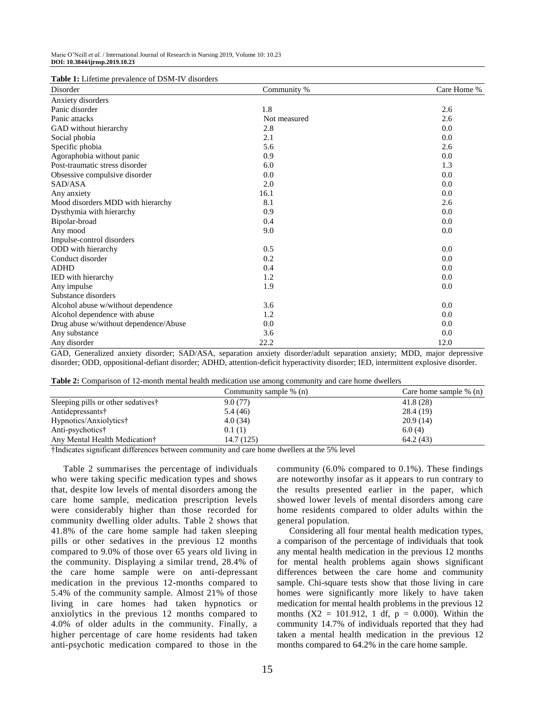|  | <b>Table 1:</b> Lifetime prevalence of DSM-IV disorders |  |
|--|---------------------------------------------------------|--|
|--|---------------------------------------------------------|--|

| <b>Table 1:</b> Enternie prevaience of BBM 17 disorders<br>Disorder | Community %  | Care Home % |
|---------------------------------------------------------------------|--------------|-------------|
| Anxiety disorders                                                   |              |             |
| Panic disorder                                                      | 1.8          | 2.6         |
| Panic attacks                                                       | Not measured | 2.6         |
| GAD without hierarchy                                               | 2.8          | 0.0         |
| Social phobia                                                       | 2.1          | 0.0         |
| Specific phobia                                                     | 5.6          | 2.6         |
| Agoraphobia without panic                                           | 0.9          | 0.0         |
| Post-traumatic stress disorder                                      | 6.0          | 1.3         |
| Obsessive compulsive disorder                                       | 0.0          | 0.0         |
| SAD/ASA                                                             | 2.0          | 0.0         |
| Any anxiety                                                         | 16.1         | 0.0         |
| Mood disorders MDD with hierarchy                                   | 8.1          | 2.6         |
| Dysthymia with hierarchy                                            | 0.9          | 0.0         |
| Bipolar-broad                                                       | 0.4          | 0.0         |
| Any mood                                                            | 9.0          | 0.0         |
| Impulse-control disorders                                           |              |             |
| ODD with hierarchy                                                  | 0.5          | 0.0         |
| Conduct disorder                                                    | 0.2          | 0.0         |
| <b>ADHD</b>                                                         | 0.4          | 0.0         |
| IED with hierarchy                                                  | 1.2          | 0.0         |
| Any impulse                                                         | 1.9          | 0.0         |
| Substance disorders                                                 |              |             |
| Alcohol abuse w/without dependence                                  | 3.6          | 0.0         |
| Alcohol dependence with abuse                                       | 1.2          | 0.0         |
| Drug abuse w/without dependence/Abuse                               | 0.0          | 0.0         |
| Any substance                                                       | 3.6          | 0.0         |
| Any disorder                                                        | 22.2         | 12.0        |

GAD, Generalized anxiety disorder; SAD/ASA, separation anxiety disorder/adult separation anxiety; MDD, major depressive disorder; ODD, oppositional-defiant disorder; ADHD, attention-deficit hyperactivity disorder; IED, intermittent explosive disorder.

|  |  |  | <b>Table 2:</b> Comparison of 12-month mental health medication use among community and care home dwellers |  |  |  |
|--|--|--|------------------------------------------------------------------------------------------------------------|--|--|--|
|--|--|--|------------------------------------------------------------------------------------------------------------|--|--|--|

|                                   | Community sample % (n) | Care home sample $\%$ (n) |
|-----------------------------------|------------------------|---------------------------|
| Sleeping pills or other sedatives | 9.0(77)                | 41.8(28)                  |
| Antidepressants†                  | 5.4 (46)               | 28.4 (19)                 |
| Hypnotics/Anxiolytics†            | 4.0(34)                | 20.9(14)                  |
| Anti-psychotics†                  | 0.1(1)                 | 6.0(4)                    |
| Any Mental Health Medication†     | 14.7 (125)             | 64.2(43)                  |

†Indicates significant differences between community and care home dwellers at the 5% level

Table 2 summarises the percentage of individuals who were taking specific medication types and shows that, despite low levels of mental disorders among the care home sample, medication prescription levels were considerably higher than those recorded for community dwelling older adults. Table 2 shows that 41.8% of the care home sample had taken sleeping pills or other sedatives in the previous 12 months compared to 9.0% of those over 65 years old living in the community. Displaying a similar trend, 28.4% of the care home sample were on anti-depressant medication in the previous 12-months compared to 5.4% of the community sample. Almost 21% of those living in care homes had taken hypnotics or anxiolytics in the previous 12 months compared to 4.0% of older adults in the community. Finally, a higher percentage of care home residents had taken anti-psychotic medication compared to those in the

community (6.0% compared to 0.1%). These findings are noteworthy insofar as it appears to run contrary to the results presented earlier in the paper, which showed lower levels of mental disorders among care home residents compared to older adults within the general population.

Considering all four mental health medication types, a comparison of the percentage of individuals that took any mental health medication in the previous 12 months for mental health problems again shows significant differences between the care home and community sample. Chi-square tests show that those living in care homes were significantly more likely to have taken medication for mental health problems in the previous 12 months  $(X2 = 101.912, 1 df, p = 0.000)$ . Within the community 14.7% of individuals reported that they had taken a mental health medication in the previous 12 months compared to 64.2% in the care home sample.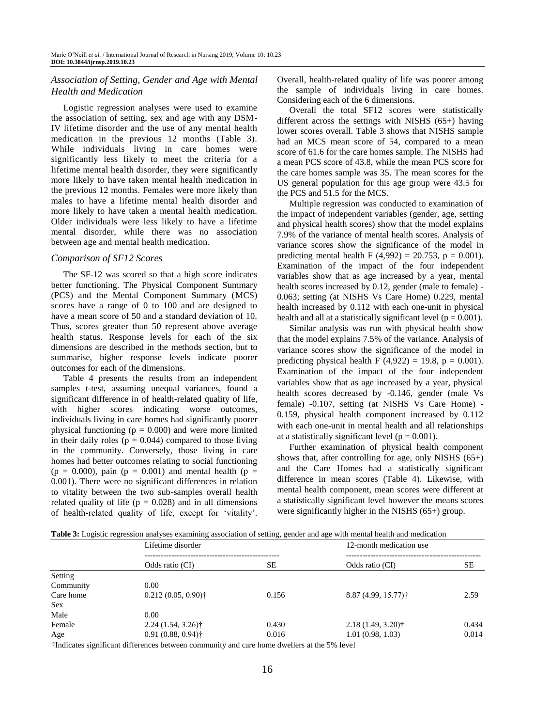## *Association of Setting, Gender and Age with Mental Health and Medication*

Logistic regression analyses were used to examine the association of setting, sex and age with any DSM-IV lifetime disorder and the use of any mental health medication in the previous 12 months (Table 3). While individuals living in care homes were significantly less likely to meet the criteria for a lifetime mental health disorder, they were significantly more likely to have taken mental health medication in the previous 12 months. Females were more likely than males to have a lifetime mental health disorder and more likely to have taken a mental health medication. Older individuals were less likely to have a lifetime mental disorder, while there was no association between age and mental health medication.

#### *Comparison of SF12 Scores*

The SF-12 was scored so that a high score indicates better functioning. The Physical Component Summary (PCS) and the Mental Component Summary (MCS) scores have a range of 0 to 100 and are designed to have a mean score of 50 and a standard deviation of 10. Thus, scores greater than 50 represent above average health status. Response levels for each of the six dimensions are described in the methods section, but to summarise, higher response levels indicate poorer outcomes for each of the dimensions.

Table 4 presents the results from an independent samples t-test, assuming unequal variances, found a significant difference in of health-related quality of life, with higher scores indicating worse outcomes, individuals living in care homes had significantly poorer physical functioning ( $p = 0.000$ ) and were more limited in their daily roles ( $p = 0.044$ ) compared to those living in the community. Conversely, those living in care homes had better outcomes relating to social functioning  $(p = 0.000)$ , pain  $(p = 0.001)$  and mental health  $(p = 0.000)$ 0.001). There were no significant differences in relation to vitality between the two sub-samples overall health related quality of life ( $p = 0.028$ ) and in all dimensions of health-related quality of life, except for 'vitality'.

Overall, health-related quality of life was poorer among the sample of individuals living in care homes. Considering each of the 6 dimensions.

Overall the total SF12 scores were statistically different across the settings with NISHS (65+) having lower scores overall. Table 3 shows that NISHS sample had an MCS mean score of 54, compared to a mean score of 61.6 for the care homes sample. The NISHS had a mean PCS score of 43.8, while the mean PCS score for the care homes sample was 35. The mean scores for the US general population for this age group were 43.5 for the PCS and 51.5 for the MCS.

Multiple regression was conducted to examination of the impact of independent variables (gender, age, setting and physical health scores) show that the model explains 7.9% of the variance of mental health scores. Analysis of variance scores show the significance of the model in predicting mental health F (4,992) = 20.753, p = 0.001). Examination of the impact of the four independent variables show that as age increased by a year, mental health scores increased by 0.12, gender (male to female) -0.063; setting (at NISHS Vs Care Home) 0.229, mental health increased by 0.112 with each one-unit in physical health and all at a statistically significant level ( $p = 0.001$ ).

Similar analysis was run with physical health show that the model explains 7.5% of the variance. Analysis of variance scores show the significance of the model in predicting physical health F  $(4,922) = 19.8$ , p = 0.001). Examination of the impact of the four independent variables show that as age increased by a year, physical health scores decreased by -0.146, gender (male Vs female) -0.107, setting (at NISHS Vs Care Home) - 0.159, physical health component increased by 0.112 with each one-unit in mental health and all relationships at a statistically significant level ( $p = 0.001$ ).

Further examination of physical health component shows that, after controlling for age, only NISHS (65+) and the Care Homes had a statistically significant difference in mean scores (Table 4). Likewise, with mental health component, mean scores were different at a statistically significant level however the means scores were significantly higher in the NISHS (65+) group.

|            | Twee of Boghold regression and food chamming abovements of betting, geneer and age with memal medication<br>Lifetime disorder |       | 12-month medication use         |       |
|------------|-------------------------------------------------------------------------------------------------------------------------------|-------|---------------------------------|-------|
|            | Odds ratio (CI)                                                                                                               | SЕ    | Odds ratio (CI)                 | SE    |
| Setting    |                                                                                                                               |       |                                 |       |
| Community  | 0.00                                                                                                                          |       |                                 |       |
| Care home  | $0.212(0.05, 0.90)$ †                                                                                                         | 0.156 | 8.87 (4.99, 15.77) <sup>†</sup> | 2.59  |
| <b>Sex</b> |                                                                                                                               |       |                                 |       |
| Male       | 0.00                                                                                                                          |       |                                 |       |
| Female     | $2.24(1.54, 3.26)$ <sup>†</sup>                                                                                               | 0.430 | $2.18(1.49, 3.20)$ †            | 0.434 |
| Age        | $0.91(0.88, 0.94)$ †                                                                                                          | 0.016 | 1.01(0.98, 1.03)                | 0.014 |

**Table 3:** Logistic regression analyses examining association of setting, gender and age with mental health and medication

†Indicates significant differences between community and care home dwellers at the 5% level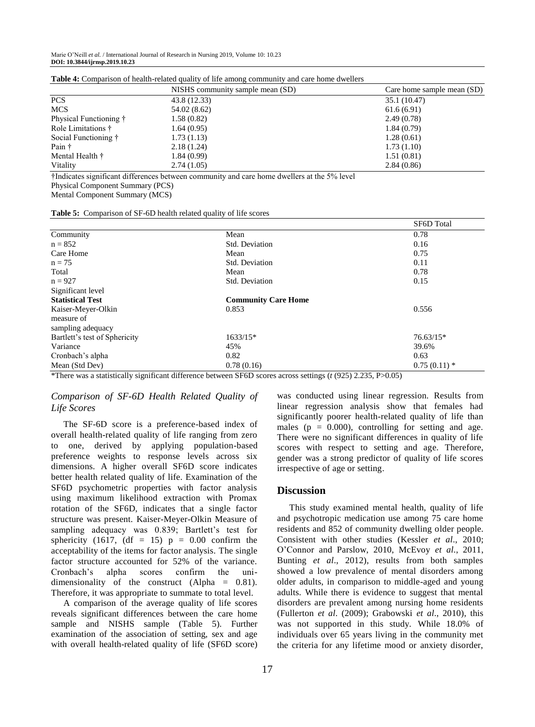|                        | NISHS community sample mean (SD) | Care home sample mean (SD) |
|------------------------|----------------------------------|----------------------------|
| <b>PCS</b>             | 43.8 (12.33)                     | 35.1 (10.47)               |
| <b>MCS</b>             | 54.02 (8.62)                     | 61.6(6.91)                 |
| Physical Functioning † | 1.58(0.82)                       | 2.49(0.78)                 |
| Role Limitations †     | 1.64(0.95)                       | 1.84(0.79)                 |
| Social Functioning †   | 1.73(1.13)                       | 1.28(0.61)                 |
| Pain †                 | 2.18(1.24)                       | 1.73(1.10)                 |
| Mental Health †        | 1.84 (0.99)                      | 1.51(0.81)                 |
| Vitality               | 2.74(1.05)                       | 2.84(0.86)                 |

**Table 4:** Comparison of health-related quality of life among community and care home dwellers

†Indicates significant differences between community and care home dwellers at the 5% level

Physical Component Summary (PCS)

Mental Component Summary (MCS)

|  |  |  |  | Table 5: Comparison of SF-6D health related quality of life scores |
|--|--|--|--|--------------------------------------------------------------------|
|--|--|--|--|--------------------------------------------------------------------|

|                               |                            | <b>SF6D</b> Total |
|-------------------------------|----------------------------|-------------------|
| Community                     | Mean                       | 0.78              |
| $n = 852$                     | Std. Deviation             | 0.16              |
| Care Home                     | Mean                       | 0.75              |
| $n = 75$                      | Std. Deviation             | 0.11              |
| Total                         | Mean                       | 0.78              |
| $n = 927$                     | Std. Deviation             | 0.15              |
| Significant level             |                            |                   |
| <b>Statistical Test</b>       | <b>Community Care Home</b> |                   |
| Kaiser-Meyer-Olkin            | 0.853                      | 0.556             |
| measure of                    |                            |                   |
| sampling adequacy             |                            |                   |
| Bartlett's test of Sphericity | $1633/15*$                 | $76.63/15*$       |
| Variance                      | 45%                        | 39.6%             |
| Cronbach's alpha              | 0.82                       | 0.63              |
| Mean (Std Dev)                | 0.78(0.16)                 | $0.75(0.11)$ *    |

\*There was a statistically significant difference between SF6D scores across settings (*t* (925) 2.235, P>0.05)

## *Comparison of SF-6D Health Related Quality of Life Scores*

The SF-6D score is a preference-based index of overall health-related quality of life ranging from zero to one, derived by applying population-based preference weights to response levels across six dimensions. A higher overall SF6D score indicates better health related quality of life. Examination of the SF6D psychometric properties with factor analysis using maximum likelihood extraction with Promax rotation of the SF6D, indicates that a single factor structure was present. Kaiser-Meyer-Olkin Measure of sampling adequacy was 0.839; Bartlett's test for sphericity (1617, (df = 15)  $p = 0.00$  confirm the acceptability of the items for factor analysis. The single factor structure accounted for 52% of the variance. Cronbach's alpha scores confirm the unidimensionality of the construct (Alpha = 0.81). Therefore, it was appropriate to summate to total level.

A comparison of the average quality of life scores reveals significant differences between the care home sample and NISHS sample (Table 5). Further examination of the association of setting, sex and age with overall health-related quality of life (SF6D score)

was conducted using linear regression. Results from linear regression analysis show that females had significantly poorer health-related quality of life than males ( $p = 0.000$ ), controlling for setting and age. There were no significant differences in quality of life scores with respect to setting and age. Therefore, gender was a strong predictor of quality of life scores irrespective of age or setting.

#### **Discussion**

This study examined mental health, quality of life and psychotropic medication use among 75 care home residents and 852 of community dwelling older people. Consistent with other studies (Kessler *et al*., 2010; O'Connor and Parslow, 2010, McEvoy *et al*., 2011, Bunting *et al*., 2012), results from both samples showed a low prevalence of mental disorders among older adults, in comparison to middle-aged and young adults. While there is evidence to suggest that mental disorders are prevalent among nursing home residents (Fullerton *et al*. (2009); Grabowski *et al*., 2010), this was not supported in this study. While 18.0% of individuals over 65 years living in the community met the criteria for any lifetime mood or anxiety disorder,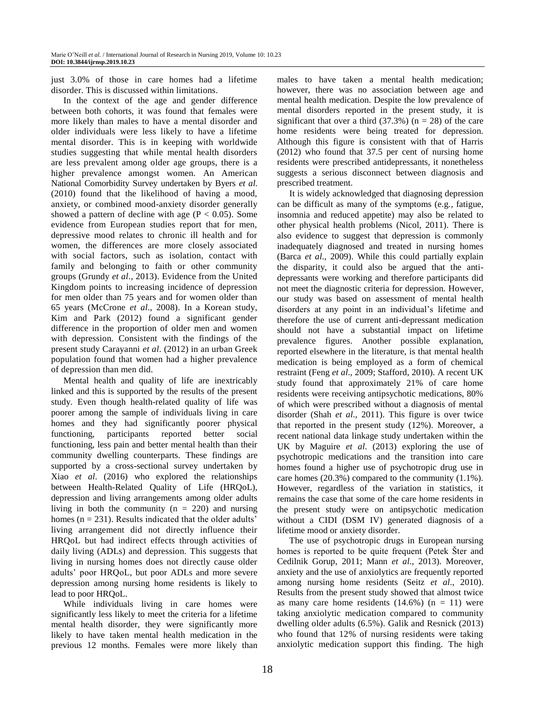just 3.0% of those in care homes had a lifetime disorder. This is discussed within limitations.

In the context of the age and gender difference between both cohorts, it was found that females were more likely than males to have a mental disorder and older individuals were less likely to have a lifetime mental disorder. This is in keeping with worldwide studies suggesting that while mental health disorders are less prevalent among older age groups, there is a higher prevalence amongst women. An American National Comorbidity Survey undertaken by Byers *et al*. (2010) found that the likelihood of having a mood, anxiety, or combined mood-anxiety disorder generally showed a pattern of decline with age ( $P < 0.05$ ). Some evidence from European studies report that for men, depressive mood relates to chronic ill health and for women, the differences are more closely associated with social factors, such as isolation, contact with family and belonging to faith or other community groups (Grundy *et al*., 2013). Evidence from the United Kingdom points to increasing incidence of depression for men older than 75 years and for women older than 65 years (McCrone *et al*., 2008). In a Korean study, Kim and Park (2012) found a significant gender difference in the proportion of older men and women with depression. Consistent with the findings of the present study Carayanni *et al*. (2012) in an urban Greek population found that women had a higher prevalence of depression than men did.

Mental health and quality of life are inextricably linked and this is supported by the results of the present study. Even though health-related quality of life was poorer among the sample of individuals living in care homes and they had significantly poorer physical functioning, participants reported better social functioning, less pain and better mental health than their community dwelling counterparts. These findings are supported by a cross-sectional survey undertaken by Xiao *et al*. (2016) who explored the relationships between Health-Related Quality of Life (HRQoL), depression and living arrangements among older adults living in both the community  $(n = 220)$  and nursing homes  $(n = 231)$ . Results indicated that the older adults' living arrangement did not directly influence their HRQoL but had indirect effects through activities of daily living (ADLs) and depression. This suggests that living in nursing homes does not directly cause older adults' poor HRQoL, but poor ADLs and more severe depression among nursing home residents is likely to lead to poor HRQoL.

While individuals living in care homes were significantly less likely to meet the criteria for a lifetime mental health disorder, they were significantly more likely to have taken mental health medication in the previous 12 months. Females were more likely than

males to have taken a mental health medication; however, there was no association between age and mental health medication. Despite the low prevalence of mental disorders reported in the present study, it is significant that over a third  $(37.3\%)$  (n = 28) of the care home residents were being treated for depression. Although this figure is consistent with that of Harris (2012) who found that 37.5 per cent of nursing home residents were prescribed antidepressants, it nonetheless suggests a serious disconnect between diagnosis and prescribed treatment.

It is widely acknowledged that diagnosing depression can be difficult as many of the symptoms (e.g., fatigue, insomnia and reduced appetite) may also be related to other physical health problems (Nicol, 2011). There is also evidence to suggest that depression is commonly inadequately diagnosed and treated in nursing homes (Barca *et al*., 2009). While this could partially explain the disparity, it could also be argued that the antidepressants were working and therefore participants did not meet the diagnostic criteria for depression. However, our study was based on assessment of mental health disorders at any point in an individual's lifetime and therefore the use of current anti-depressant medication should not have a substantial impact on lifetime prevalence figures. Another possible explanation, reported elsewhere in the literature, is that mental health medication is being employed as a form of chemical restraint (Feng *et al*., 2009; Stafford, 2010). A recent UK study found that approximately 21% of care home residents were receiving antipsychotic medications, 80% of which were prescribed without a diagnosis of mental disorder (Shah *et al*., 2011). This figure is over twice that reported in the present study (12%). Moreover, a recent national data linkage study undertaken within the UK by Maguire *et al*. (2013) exploring the use of psychotropic medications and the transition into care homes found a higher use of psychotropic drug use in care homes (20.3%) compared to the community (1.1%). However, regardless of the variation in statistics, it remains the case that some of the care home residents in the present study were on antipsychotic medication without a CIDI (DSM IV) generated diagnosis of a lifetime mood or anxiety disorder.

The use of psychotropic drugs in European nursing homes is reported to be quite frequent (Petek Šter and Cedilnik Gorup, 2011; Mann *et al*., 2013). Moreover, anxiety and the use of anxiolytics are frequently reported among nursing home residents (Seitz *et al*., 2010). Results from the present study showed that almost twice as many care home residents  $(14.6\%)$   $(n = 11)$  were taking anxiolytic medication compared to community dwelling older adults (6.5%). Galik and Resnick (2013) who found that 12% of nursing residents were taking anxiolytic medication support this finding. The high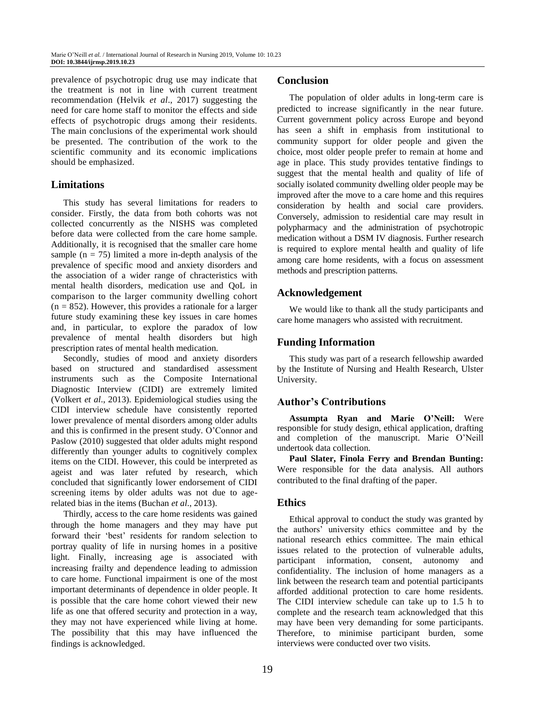prevalence of psychotropic drug use may indicate that the treatment is not in line with current treatment recommendation (Helvik *et al*., 2017) suggesting the need for care home staff to monitor the effects and side effects of psychotropic drugs among their residents. The main conclusions of the experimental work should be presented. The contribution of the work to the scientific community and its economic implications should be emphasized.

## **Limitations**

This study has several limitations for readers to consider. Firstly, the data from both cohorts was not collected concurrently as the NISHS was completed before data were collected from the care home sample. Additionally, it is recognised that the smaller care home sample  $(n = 75)$  limited a more in-depth analysis of the prevalence of specific mood and anxiety disorders and the association of a wider range of chracteristics with mental health disorders, medication use and QoL in comparison to the larger community dwelling cohort  $(n = 852)$ . However, this provides a rationale for a larger future study examining these key issues in care homes and, in particular, to explore the paradox of low prevalence of mental health disorders but high prescription rates of mental health medication.

Secondly, studies of mood and anxiety disorders based on structured and standardised assessment instruments such as the Composite International Diagnostic Interview (CIDI) are extremely limited (Volkert *et al*., 2013). Epidemiological studies using the CIDI interview schedule have consistently reported lower prevalence of mental disorders among older adults and this is confirmed in the present study. O'Connor and Paslow (2010) suggested that older adults might respond differently than younger adults to cognitively complex items on the CIDI. However, this could be interpreted as ageist and was later refuted by research, which concluded that significantly lower endorsement of CIDI screening items by older adults was not due to agerelated bias in the items (Buchan *et al*., 2013).

Thirdly, access to the care home residents was gained through the home managers and they may have put forward their 'best' residents for random selection to portray quality of life in nursing homes in a positive light. Finally, increasing age is associated with increasing frailty and dependence leading to admission to care home. Functional impairment is one of the most important determinants of dependence in older people. It is possible that the care home cohort viewed their new life as one that offered security and protection in a way, they may not have experienced while living at home. The possibility that this may have influenced the findings is acknowledged.

## **Conclusion**

The population of older adults in long-term care is predicted to increase significantly in the near future. Current government policy across Europe and beyond has seen a shift in emphasis from institutional to community support for older people and given the choice, most older people prefer to remain at home and age in place. This study provides tentative findings to suggest that the mental health and quality of life of socially isolated community dwelling older people may be improved after the move to a care home and this requires consideration by health and social care providers. Conversely, admission to residential care may result in polypharmacy and the administration of psychotropic medication without a DSM IV diagnosis. Further research is required to explore mental health and quality of life among care home residents, with a focus on assessment methods and prescription patterns.

## **Acknowledgement**

We would like to thank all the study participants and care home managers who assisted with recruitment.

# **Funding Information**

This study was part of a research fellowship awarded by the Institute of Nursing and Health Research, Ulster University.

# **Author's Contributions**

**Assumpta Ryan and Marie O'Neill:** Were responsible for study design, ethical application, drafting and completion of the manuscript. Marie O'Neill undertook data collection.

**Paul Slater, Finola Ferry and Brendan Bunting:** Were responsible for the data analysis. All authors contributed to the final drafting of the paper.

# **Ethics**

Ethical approval to conduct the study was granted by the authors' university ethics committee and by the national research ethics committee. The main ethical issues related to the protection of vulnerable adults, participant information, consent, autonomy and confidentiality. The inclusion of home managers as a link between the research team and potential participants afforded additional protection to care home residents. The CIDI interview schedule can take up to 1.5 h to complete and the research team acknowledged that this may have been very demanding for some participants. Therefore, to minimise participant burden, some interviews were conducted over two visits.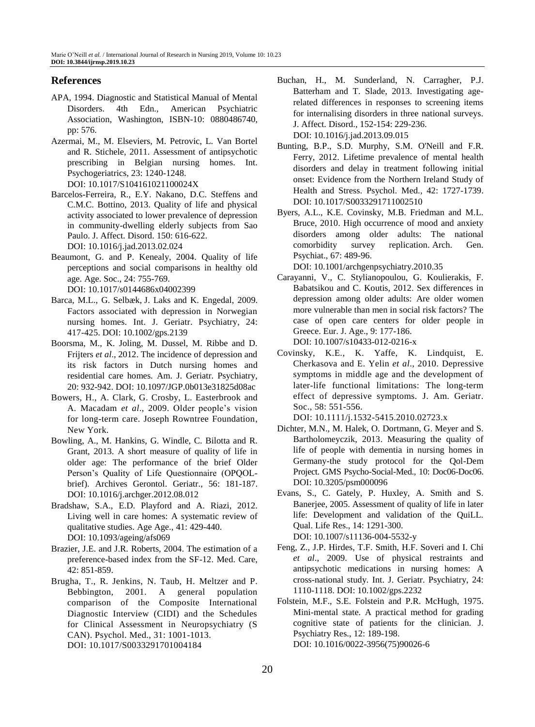## **References**

- APA, 1994. Diagnostic and Statistical Manual of Mental Disorders. 4th Edn., American Psychiatric Association, Washington, ISBN-10: 0880486740, pp: 576.
- Azermai, M., M. Elseviers, M. Petrovic, L. Van Bortel and R. Stichele, 2011. Assessment of antipsychotic prescribing in Belgian nursing homes. Int. Psychogeriatrics, 23: 1240-1248.
	- DOI: 10.1017/S104161021100024X
- Barcelos-Ferreira, R., E.Y. Nakano, D.C. Steffens and C.M.C. Bottino, 2013. Quality of life and physical activity associated to lower prevalence of depression in community-dwelling elderly subjects from Sao Paulo. J. Affect. Disord. 150: 616-622. DOI: 10.1016/j.jad.2013.02.024
- Beaumont, G. and P. Kenealy, 2004. Quality of life perceptions and social comparisons in healthy old age. Age. Soc., 24: 755-769. DOI: 10.1017/s0144686x04002399
- [Barca, M.L.](https://www.ncbi.nlm.nih.gov/pubmed/?term=Barca%20ML%5BAuthor%5D&cauthor=true&cauthor_uid=18836988), G. Selbæk, J. Laks and K. Engedal, 2009. Factors associated with depression in Norwegian nursing homes. Int. J. Geriatr. [Psychiatry, 2](https://www.ncbi.nlm.nih.gov/pubmed/18836988)4: 417-425. DOI: 10.1002/gps.2139
- Boorsma, M., K. Joling, M. Dussel, M. Ribbe and D. Frijters *et al*., 2012. The incidence of depression and its risk factors in Dutch nursing homes and residential care homes. Am. J. Geriatr. Psychiatry, 20: 932-942. DOI: 10.1097/JGP.0b013e31825d08ac
- Bowers, H., A. Clark, G. Crosby, L. Easterbrook and A. Macadam *et al*., 2009. Older people's vision for long-term care. Joseph Rowntree Foundation, New York.
- Bowling, A., M. Hankins, G. Windle, C. Bilotta and R. Grant, 2013. A short measure of quality of life in older age: The performance of the brief Older Person's Quality of Life Questionnaire (OPQOLbrief). Archives Gerontol. Geriatr., 56: 181-187. DOI: 10.1016/j.archger.2012.08.012
- Bradshaw, S.A., E.D. Playford and A. Riazi, 2012. Living well in care homes: A systematic review of qualitative studies. Age Age., 41: 429-440. DOI: 10.1093/ageing/afs069
- Brazier, J.E. and J.R. Roberts, 2004. The estimation of a preference-based index from the SF-12. Med. Care, 42: 851-859.
- Brugha, T., R. Jenkins, N. Taub, H. Meltzer and P. Bebbington, 2001. A general population comparison of the Composite International Diagnostic Interview (CIDI) and the Schedules for Clinical Assessment in Neuropsychiatry (S CAN). Psychol. Med., 31: 1001-1013. DOI: 10.1017/S0033291701004184
- Buchan, H., M. Sunderland, N. Carragher, P.J. Batterham and T. Slade, 2013. Investigating agerelated differences in responses to screening items for internalising disorders in three national surveys. J. Affect. Disord., 152-154: 229-236. DOI: 10.1016/j.jad.2013.09.015
- Bunting, B.P., S.D. Murphy, S.M. O'Neill and F.R. Ferry, 2012. Lifetime prevalence of mental health disorders and delay in treatment following initial onset: Evidence from the Northern Ireland Study of Health and Stress. Psychol. Med., 42: 1727-1739. DOI: 10.1017/S0033291711002510
- Byers, A.L., K.E. Covinsky, M.B. Friedman and M.L. Bruce, 2010. High occurrence of mood and anxiety disorders among older adults: The national comorbidity survey replication. Arch. Gen. Psychiat., 67: 489-96.

DOI: 10.1001/archgenpsychiatry.2010.35

- Carayanni, V., C. Stylianopoulou, G. Koulierakis, F. Babatsikou and C. Koutis, 2012. Sex differences in depression among older adults: Are older women more vulnerable than men in social risk factors? The case of open care centers for older people in Greece. Eur. J. Age., 9: 177-186. DOI: 10.1007/s10433-012-0216-x
- Covinsky, K.E., K. Yaffe, K. Lindquist, E. Cherkasova and E. Yelin *et al*., 2010. Depressive symptoms in middle age and the development of later-life functional limitations: The long-term effect of depressive symptoms. J. Am. Geriatr. Soc., 58: 551-556.

DOI: 10.1111/j.1532-5415.2010.02723.x

- Dichter, M.N., M. Halek, O. Dortmann, G. Meyer and S. Bartholomeyczik, 2013. Measuring the quality of life of people with dementia in nursing homes in Germany-the study protocol for the Qol-Dem Project. GMS Psycho-Social-Med., 10: Doc06-Doc06. DOI: 10.3205/psm000096
- Evans, S., C. Gately, P. Huxley, A. Smith and S. Banerjee, 2005. Assessment of quality of life in later life: Development and validation of the QuiLL. Qual. Life Res., 14: 1291-300. DOI: 10.1007/s11136-004-5532-y
- Feng, Z., J.P. Hirdes, T.F. Smith, H.F. Soveri and I. Chi *et al*., 2009. Use of physical restraints and antipsychotic medications in nursing homes: A cross-national study. Int. J. Geriatr. Psychiatry, 24: 1110-1118. DOI: 10.1002/gps.2232
- Folstein, M.F., S.E. Folstein and P.R. McHugh, 1975. Mini-mental state. A practical method for grading cognitive state of patients for the clinician. J. Psychiatry Res., 12: 189-198. DOI: 10.1016/0022-3956(75)90026-6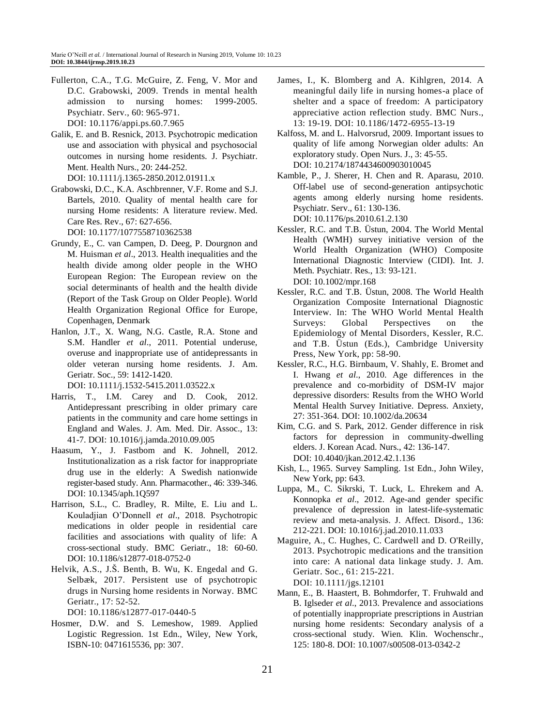- Fullerton, C.A., T.G. McGuire, Z. Feng, V. Mor and D.C. Grabowski, 2009. Trends in mental health admission to nursing homes: 1999-2005. Psychiatr. Serv., 60: 965-971. DOI: 10.1176/appi.ps.60.7.965
- Galik, E. and B. Resnick, 2013. Psychotropic medication use and association with physical and psychosocial outcomes in nursing home residents. J. Psychiatr. Ment. Health Nurs., 20: 244-252. DOI: 10.1111/j.1365-2850.2012.01911.x
- Grabowski, D.C., K.A. Aschbrenner, V.F. Rome and S.J. Bartels, 2010. Quality of mental health care for nursing Home residents: A literature review. Med. Care Res. Rev., 67: 627-656.

DOI: 10.1177/1077558710362538

- Grundy, E., C. van Campen, D. Deeg, P. Dourgnon and M. Huisman *et al*., 2013. Health inequalities and the health divide among older people in the WHO European Region: The European review on the social determinants of health and the health divide (Report of the Task Group on Older People). World Health Organization Regional Office for Europe, Copenhagen, Denmark
- Hanlon, J.T., X. Wang, N.G. Castle, R.A. Stone and S.M. Handler *et al*., 2011. Potential underuse, overuse and inappropriate use of antidepressants in older veteran nursing home residents. J. Am. Geriatr. Soc., 59: 1412-1420.

DOI: 10.1111/j.1532-5415.2011.03522.x

- Harris, T., I.M. Carey and D. Cook, 2012. Antidepressant prescribing in older primary care patients in the community and care home settings in England and Wales. J. Am. Med. Dir. Assoc., 13: 41-7. DOI: 10.1016/j.jamda.2010.09.005
- Haasum, Y., J. Fastbom and K. Johnell, 2012. Institutionalization as a risk factor for inappropriate drug use in the elderly: A Swedish nationwide register-based study. Ann. Pharmacother., 46: 339-346. DOI: 10.1345/aph.1Q597
- Harrison, S.L., C. Bradley, R. Milte, E. Liu and L. Kouladjian O'Donnell *et al*., 2018. Psychotropic medications in older people in residential care facilities and associations with quality of life: A cross-sectional study. BMC Geriatr., 18: 60-60. DOI: 10.1186/s12877-018-0752-0
- Helvik, A.S., J.Š. Benth, B. Wu, K. Engedal and G. Selbæk, 2017. Persistent use of psychotropic drugs in Nursing home residents in Norway. BMC Geriatr., 17: 52-52.

DOI: 10.1186/s12877-017-0440-5

Hosmer, D.W. and S. Lemeshow, 1989. Applied Logistic Regression. 1st Edn., Wiley, New York, ISBN-10: 0471615536, pp: 307.

- James, I., K. Blomberg and A. Kihlgren, 2014. A meaningful daily life in nursing homes-a place of shelter and a space of freedom: A participatory appreciative action reflection study. BMC Nurs., 13: 19-19. DOI: 10.1186/1472-6955-13-19
- Kalfoss, M. and L. Halvorsrud, 2009. Important issues to quality of life among Norwegian older adults: An exploratory study. Open Nurs. J., 3: 45-55. DOI: 10.2174/1874434600903010045
- Kamble, P., J. Sherer, H. Chen and R. Aparasu, 2010. Off-label use of second-generation antipsychotic agents among elderly nursing home residents. Psychiatr. Serv., 61: 130-136. DOI: 10.1176/ps.2010.61.2.130
- Kessler, R.C. and T.B. Üstun, 2004. The World Mental Health (WMH) survey initiative version of the World Health Organization (WHO) Composite International Diagnostic Interview (CIDI). Int. J. Meth. Psychiatr. Res., 13: 93-121. DOI: 10.1002/mpr.168
- Kessler, R.C. and T.B. Üstun, 2008. The World Health Organization Composite International Diagnostic Interview. In: The WHO World Mental Health Surveys: Global Perspectives on the Epidemiology of Mental Disorders, Kessler, R.C. and T.B. Üstun (Eds.), Cambridge University Press, New York, pp: 58-90.
- Kessler, R.C., H.G. Birnbaum, V. Shahly, E. Bromet and I. Hwang *et al*., 2010. Age differences in the prevalence and co-morbidity of DSM-IV major depressive disorders: Results from the WHO World Mental Health Survey Initiative. Depress. Anxiety, 27: 351-364. DOI: 10.1002/da.20634
- [Kim, C.G.](https://www.ncbi.nlm.nih.gov/pubmed/?term=Kim%20CG%5BAuthor%5D&cauthor=true&cauthor_uid=22410610) and [S.](https://www.ncbi.nlm.nih.gov/pubmed/?term=Park%20S%5BAuthor%5D&cauthor=true&cauthor_uid=22410610) Park, 2012. Gender difference in risk factors for depression in community-dwelling elders. J. [Korean Acad.](https://www.ncbi.nlm.nih.gov/pubmed/22410610) Nurs., 42: 136-147. DOI: 10.4040/jkan.2012.42.1.136
- Kish, L., 1965. Survey Sampling. 1st Edn., John Wiley, New York, pp: 643.
- Luppa, M., C. Sikrski, T. Luck, L. Ehrekem and A. Konnopka *et al*., 2012. Age-and gender specific prevalence of depression in latest-life-systematic review and meta-analysis. J. Affect. Disord., 136: 212-221. DOI: 10.1016/j.jad.2010.11.033
- Maguire, A., C. Hughes, C. Cardwell and D. O'Reilly, 2013. Psychotropic medications and the transition into care: A national data linkage study. J. Am. Geriatr. Soc., 61: 215-221. DOI: 10.1111/jgs.12101
- Mann, E., B. Haastert, B. Bohmdorfer, T. Fruhwald and B. Iglseder *et al*., 2013. Prevalence and associations of potentially inappropriate prescriptions in Austrian nursing home residents: Secondary analysis of a cross-sectional study. Wien. Klin. Wochenschr., 125: 180-8. DOI: 10.1007/s00508-013-0342-2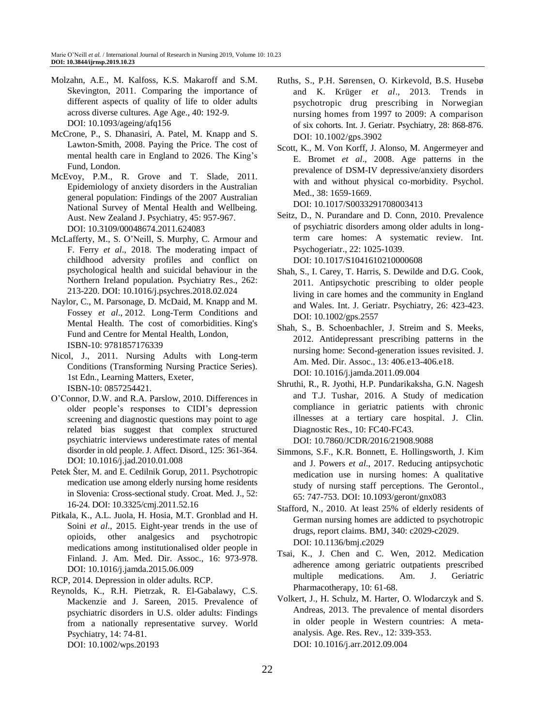- Molzahn, A.E., M. Kalfoss, K.S. Makaroff and S.M. Skevington, 2011. Comparing the importance of different aspects of quality of life to older adults across diverse cultures. Age Age., 40: 192-9. DOI: 10.1093/ageing/afq156
- McCrone, P., S. Dhanasiri, A. Patel, M. Knapp and S. Lawton-Smith, 2008. Paying the Price. The cost of mental health care in England to 2026. The King's Fund, London.
- McEvoy, P.M., R. Grove and T. Slade, 2011. Epidemiology of anxiety disorders in the Australian general population: Findings of the 2007 Australian National Survey of Mental Health and Wellbeing. Aust. New Zealand J. Psychiatry, 45: 957-967. DOI: 10.3109/00048674.2011.624083
- McLafferty, M., S. O'Neill, S. Murphy, C. Armour and F. Ferry *et al*., 2018. The moderating impact of childhood adversity profiles and conflict on psychological health and suicidal behaviour in the Northern Ireland population. Psychiatry Res., 262: 213-220. DOI: 10.1016/j.psychres.2018.02.024
- Naylor, C., M. Parsonage, D. McDaid, M. Knapp and M. Fossey *et al*., 2012. Long-Term Conditions and Mental Health. The cost of comorbidities. King's Fund and Centre for Mental Health, London, ISBN-10: 9781857176339
- Nicol, J., 2011. Nursing Adults with Long-term Conditions (Transforming Nursing Practice Series). 1st Edn., Learning Matters, Exeter, ISBN-10: 0857254421.
- O'Connor, D.W. and R.A. Parslow, 2010. Differences in older people's responses to CIDI's depression screening and diagnostic questions may point to age related bias suggest that complex structured psychiatric interviews underestimate rates of mental disorder in old people. J. Affect. [Disord.,](http://www.sciencedirect.com/science/journal/01650327) 125: 361-364. DOI: 10.1016/j.jad.2010.01.008
- Petek Šter, M. and E. Cedilnik Gorup, 2011. Psychotropic medication use among elderly nursing home residents in Slovenia: Cross-sectional study. Croat. Med. J., 52: 16-24. DOI: 10.3325/cmj.2011.52.16
- Pitkala, K., A.L. Juola, H. Hosia, M.T. Gronblad and H. Soini *et al*., 2015. Eight-year trends in the use of opioids, other analgesics and psychotropic medications among institutionalised older people in Finland. J. Am. Med. Dir. Assoc., 16: 973-978. DOI: 10.1016/j.jamda.2015.06.009

RCP, 2014. Depression in older adults. RCP.

Reynolds, K., R.H. Pietrzak, R. El-Gabalawy, C.S. Mackenzie and J. Sareen, 2015. Prevalence of psychiatric disorders in U.S. older adults: Findings from a nationally representative survey. World Psychiatry, 14: 74-81. DOI: 10.1002/wps.20193

- Ruths, S., P.H. Sørensen, O. Kirkevold, B.S. Husebø and K. Krüger *et al*., 2013. Trends in psychotropic drug prescribing in Norwegian nursing homes from 1997 to 2009: A comparison of six cohorts. Int. J. Geriatr. Psychiatry, 28: 868-876. DOI: 10.1002/gps.3902
- Scott, K., M. Von Korff, J. Alonso, M. Angermeyer and E. Bromet *et al*., 2008. Age patterns in the prevalence of DSM-IV depressive/anxiety disorders with and without physical co-morbidity. Psychol. Med., 38: 1659-1669.

DOI: 10.1017/S0033291708003413

- Seitz, D., N. Purandare and D. Conn, 2010. Prevalence of psychiatric disorders among older adults in longterm care homes: A systematic review. Int. Psychogeriatr., 22: 1025-1039. DOI: 10.1017/S1041610210000608
- Shah, S., I. Carey, T. Harris, S. Dewilde and D.G. Cook, 2011. Antipsychotic prescribing to older people living in care homes and the community in England and Wales. Int. J. Geriatr. Psychiatry, 26: 423-423. DOI: 10.1002/gps.2557
- Shah, S., B. Schoenbachler, J. Streim and S. Meeks, 2012. Antidepressant prescribing patterns in the nursing home: Second-generation issues revisited. J. Am. Med. Dir. Assoc., 13: 406.e13-406.e18. DOI: 10.1016/j.jamda.2011.09.004
- Shruthi, R., R. Jyothi, H.P. Pundarikaksha, G.N. Nagesh and T.J. Tushar, 2016. A Study of medication compliance in geriatric patients with chronic illnesses at a tertiary care hospital. J. Clin. Diagnostic Res., 10: FC40-FC43. DOI: 10.7860/JCDR/2016/21908.9088
- Simmons, S.F., K.R. Bonnett, E. Hollingsworth, J. Kim and J. Powers *et al*., 2017. Reducing antipsychotic medication use in nursing homes: A qualitative study of nursing staff perceptions. The Gerontol., 65: 747-753. DOI: 10.1093/geront/gnx083
- Stafford, N., 2010. At least 25% of elderly residents of German nursing homes are addicted to psychotropic drugs, report claims. BMJ, 340: c2029-c2029. DOI: 10.1136/bmj.c2029
- Tsai, K., J. Chen and C. Wen, 2012. Medication adherence among geriatric outpatients prescribed multiple medications. Am. J. Geriatric Pharmacotherapy, 10: 61-68.
- Volkert, J., H. Schulz, M. Harter, O. Wlodarczyk and S. Andreas, 2013. The prevalence of mental disorders in older people in Western countries: A metaanalysis. Age. Res. Rev., 12: 339-353. DOI: 10.1016/j.arr.2012.09.004